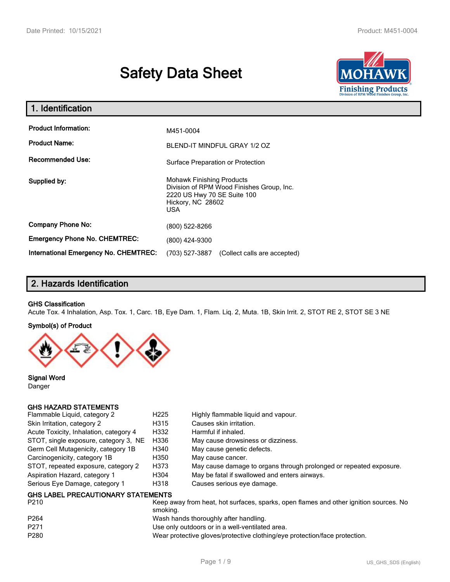# **Safety Data Sheet**



| 1. Identification                                   |                                                                                                                                                 |  |  |
|-----------------------------------------------------|-------------------------------------------------------------------------------------------------------------------------------------------------|--|--|
| <b>Product Information:</b><br><b>Product Name:</b> | M451-0004<br>BLEND-IT MINDFUL GRAY 1/2 OZ                                                                                                       |  |  |
| <b>Recommended Use:</b>                             | Surface Preparation or Protection                                                                                                               |  |  |
| Supplied by:                                        | <b>Mohawk Finishing Products</b><br>Division of RPM Wood Finishes Group, Inc.<br>2220 US Hwy 70 SE Suite 100<br>Hickory, NC 28602<br><b>USA</b> |  |  |
| <b>Company Phone No:</b>                            | (800) 522-8266                                                                                                                                  |  |  |
| <b>Emergency Phone No. CHEMTREC:</b>                | (800) 424-9300                                                                                                                                  |  |  |
| <b>International Emergency No. CHEMTREC:</b>        | (703) 527-3887<br>(Collect calls are accepted)                                                                                                  |  |  |

# **2. Hazards Identification**

#### **GHS Classification**

Acute Tox. 4 Inhalation, Asp. Tox. 1, Carc. 1B, Eye Dam. 1, Flam. Liq. 2, Muta. 1B, Skin Irrit. 2, STOT RE 2, STOT SE 3 NE

#### **Symbol(s) of Product**



**Signal Word** Danger

#### **GHS HAZARD STATEMENTS**

| Flammable Liquid, category 2              | H <sub>225</sub> | Highly flammable liquid and vapour.                                |
|-------------------------------------------|------------------|--------------------------------------------------------------------|
| Skin Irritation, category 2               | H315             | Causes skin irritation.                                            |
| Acute Toxicity, Inhalation, category 4    | H332             | Harmful if inhaled.                                                |
| STOT, single exposure, category 3, NE     | H336             | May cause drowsiness or dizziness.                                 |
| Germ Cell Mutagenicity, category 1B       | H340             | May cause genetic defects.                                         |
| Carcinogenicity, category 1B              | H350             | May cause cancer.                                                  |
| STOT, repeated exposure, category 2       | H373             | May cause damage to organs through prolonged or repeated exposure. |
| Aspiration Hazard, category 1             | H304             | May be fatal if swallowed and enters airways.                      |
| Serious Eye Damage, category 1            | H318             | Causes serious eye damage.                                         |
| <b>GHS LABEL PRECAUTIONARY STATEMENTS</b> |                  |                                                                    |

| P <sub>210</sub> | Keep away from heat, hot surfaces, sparks, open flames and other ignition sources. No<br>smoking. |
|------------------|---------------------------------------------------------------------------------------------------|
| P <sub>264</sub> | Wash hands thoroughly after handling.                                                             |
| P <sub>271</sub> | Use only outdoors or in a well-ventilated area.                                                   |
| P <sub>280</sub> | Wear protective gloves/protective clothing/eye protection/face protection.                        |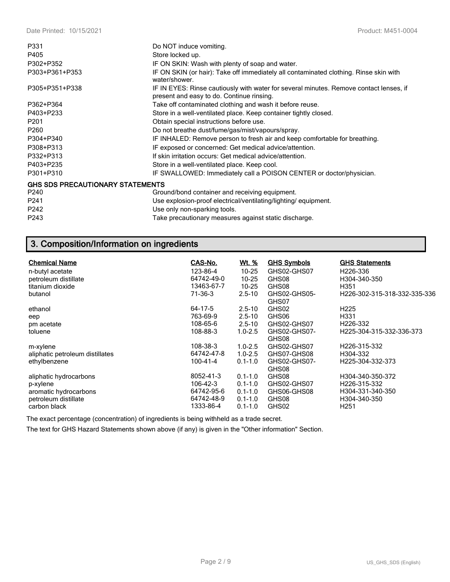| P331                                    | Do NOT induce vomiting.                                                                                                             |
|-----------------------------------------|-------------------------------------------------------------------------------------------------------------------------------------|
| P405                                    | Store locked up.                                                                                                                    |
| P302+P352                               | IF ON SKIN: Wash with plenty of soap and water.                                                                                     |
| P303+P361+P353                          | IF ON SKIN (or hair): Take off immediately all contaminated clothing. Rinse skin with<br>water/shower.                              |
| P305+P351+P338                          | IF IN EYES: Rinse cautiously with water for several minutes. Remove contact lenses, if<br>present and easy to do. Continue rinsing. |
| P362+P364                               | Take off contaminated clothing and wash it before reuse.                                                                            |
| P403+P233                               | Store in a well-ventilated place. Keep container tightly closed.                                                                    |
| P <sub>201</sub>                        | Obtain special instructions before use.                                                                                             |
| P <sub>260</sub>                        | Do not breathe dust/fume/gas/mist/vapours/spray.                                                                                    |
| P304+P340                               | IF INHALED: Remove person to fresh air and keep comfortable for breathing.                                                          |
| P308+P313                               | IF exposed or concerned: Get medical advice/attention.                                                                              |
| P332+P313                               | If skin irritation occurs: Get medical advice/attention.                                                                            |
| P403+P235                               | Store in a well-ventilated place. Keep cool.                                                                                        |
| P301+P310                               | IF SWALLOWED: Immediately call a POISON CENTER or doctor/physician.                                                                 |
| <b>GHS SDS PRECAUTIONARY STATEMENTS</b> |                                                                                                                                     |
| P240                                    | Ground/bond container and receiving equipment.                                                                                      |
| P <sub>241</sub>                        | Use explosion-proof electrical/ventilating/lighting/equipment.                                                                      |
| P242                                    | Use only non-sparking tools.                                                                                                        |
| P243                                    | Take precautionary measures against static discharge.                                                                               |

# **3. Composition/Information on ingredients**

| CAS-No.                                                 | Wt. %                                                    | <b>GHS Symbols</b>                           | <b>GHS Statements</b><br>H <sub>226</sub> -336                       |
|---------------------------------------------------------|----------------------------------------------------------|----------------------------------------------|----------------------------------------------------------------------|
|                                                         |                                                          |                                              | H304-340-350                                                         |
| 13463-67-7                                              | $10 - 25$                                                | GHS08                                        | H351                                                                 |
| 71-36-3                                                 | $2.5 - 10$                                               | GHS02-GHS05-<br>GHS07                        | H226-302-315-318-332-335-336                                         |
| 64-17-5                                                 | $2.5 - 10$                                               | GHS02                                        | H <sub>225</sub>                                                     |
| 763-69-9                                                | $2.5 - 10$                                               | GHS06                                        | H331                                                                 |
| 108-65-6                                                | $2.5 - 10$                                               | GHS02-GHS07                                  | H <sub>226</sub> -332                                                |
| 108-88-3                                                | $1.0 - 2.5$                                              | GHS02-GHS07-<br>GHS08                        | H225-304-315-332-336-373                                             |
| 108-38-3                                                | $1.0 - 2.5$                                              | GHS02-GHS07                                  | H226-315-332                                                         |
| 64742-47-8                                              | $1.0 - 2.5$                                              | GHS07-GHS08                                  | H304-332                                                             |
| 100-41-4                                                | $0.1 - 1.0$                                              | GHS02-GHS07-<br>GHS08                        | H225-304-332-373                                                     |
| 8052-41-3                                               | $0.1 - 1.0$                                              | GHS08                                        | H304-340-350-372                                                     |
| $106 - 42 - 3$<br>64742-95-6<br>64742-48-9<br>1333-86-4 | $0.1 - 1.0$<br>$0.1 - 1.0$<br>$0.1 - 1.0$<br>$0.1 - 1.0$ | GHS02-GHS07<br>GHS06-GHS08<br>GHS08<br>GHS02 | H226-315-332<br>H304-331-340-350<br>H304-340-350<br>H <sub>251</sub> |
|                                                         | 123-86-4<br>64742-49-0                                   | $10 - 25$<br>$10 - 25$                       | GHS02-GHS07<br>GHS08                                                 |

The exact percentage (concentration) of ingredients is being withheld as a trade secret.

The text for GHS Hazard Statements shown above (if any) is given in the "Other information" Section.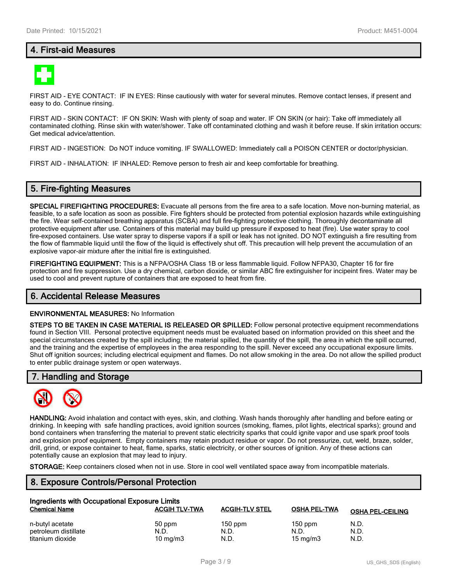# **4. First-aid Measures**



FIRST AID - EYE CONTACT: IF IN EYES: Rinse cautiously with water for several minutes. Remove contact lenses, if present and easy to do. Continue rinsing.

FIRST AID - SKIN CONTACT: IF ON SKIN: Wash with plenty of soap and water. IF ON SKIN (or hair): Take off immediately all contaminated clothing. Rinse skin with water/shower. Take off contaminated clothing and wash it before reuse. If skin irritation occurs: Get medical advice/attention.

FIRST AID - INGESTION: Do NOT induce vomiting. IF SWALLOWED: Immediately call a POISON CENTER or doctor/physician.

FIRST AID - INHALATION: IF INHALED: Remove person to fresh air and keep comfortable for breathing.

### **5. Fire-fighting Measures**

**SPECIAL FIREFIGHTING PROCEDURES:** Evacuate all persons from the fire area to a safe location. Move non-burning material, as feasible, to a safe location as soon as possible. Fire fighters should be protected from potential explosion hazards while extinguishing the fire. Wear self-contained breathing apparatus (SCBA) and full fire-fighting protective clothing. Thoroughly decontaminate all protective equipment after use. Containers of this material may build up pressure if exposed to heat (fire). Use water spray to cool fire-exposed containers. Use water spray to disperse vapors if a spill or leak has not ignited. DO NOT extinguish a fire resulting from the flow of flammable liquid until the flow of the liquid is effectively shut off. This precaution will help prevent the accumulation of an explosive vapor-air mixture after the initial fire is extinguished.

**FIREFIGHTING EQUIPMENT:** This is a NFPA/OSHA Class 1B or less flammable liquid. Follow NFPA30, Chapter 16 for fire protection and fire suppression. Use a dry chemical, carbon dioxide, or similar ABC fire extinguisher for incipeint fires. Water may be used to cool and prevent rupture of containers that are exposed to heat from fire.

#### **6. Accidental Release Measures**

#### **ENVIRONMENTAL MEASURES:** No Information

**STEPS TO BE TAKEN IN CASE MATERIAL IS RELEASED OR SPILLED:** Follow personal protective equipment recommendations found in Section VIII. Personal protective equipment needs must be evaluated based on information provided on this sheet and the special circumstances created by the spill including; the material spilled, the quantity of the spill, the area in which the spill occurred, and the training and the expertise of employees in the area responding to the spill. Never exceed any occupational exposure limits. Shut off ignition sources; including electrical equipment and flames. Do not allow smoking in the area. Do not allow the spilled product to enter public drainage system or open waterways.

### **7. Handling and Storage**



**HANDLING:** Avoid inhalation and contact with eyes, skin, and clothing. Wash hands thoroughly after handling and before eating or drinking. In keeping with safe handling practices, avoid ignition sources (smoking, flames, pilot lights, electrical sparks); ground and bond containers when transferring the material to prevent static electricity sparks that could ignite vapor and use spark proof tools and explosion proof equipment. Empty containers may retain product residue or vapor. Do not pressurize, cut, weld, braze, solder, drill, grind, or expose container to heat, flame, sparks, static electricity, or other sources of ignition. Any of these actions can potentially cause an explosion that may lead to injury.

**STORAGE:** Keep containers closed when not in use. Store in cool well ventilated space away from incompatible materials.

# **8. Exposure Controls/Personal Protection**

| Ingredients with Occupational Exposure Limits |                      |                       |                     |                         |  |  |
|-----------------------------------------------|----------------------|-----------------------|---------------------|-------------------------|--|--|
| <b>Chemical Name</b>                          | <b>ACGIH TLV-TWA</b> | <b>ACGIH-TLV STEL</b> | <b>OSHA PEL-TWA</b> | <b>OSHA PEL-CEILING</b> |  |  |
| n-butyl acetate                               | 50 ppm               | $150$ ppm             | $150$ ppm           | N.D.                    |  |  |
| petroleum distillate                          | N.D.                 | N.D.                  | N.D.                | N.D.                    |  |  |
| titanium dioxide                              | $10 \text{ mg/m}$    | N.D.                  | $15 \text{ mg/m}$   | N.D.                    |  |  |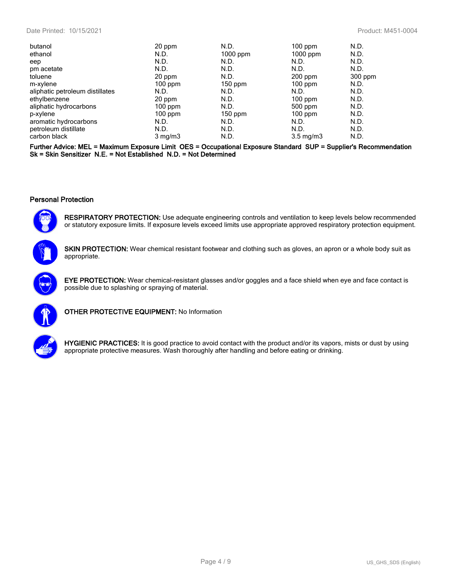#### Date Printed: 10/15/2021 Product: M451-0004

| butanol                         | 20 ppm           | N.D.      | $100$ ppm          | N.D.    |
|---------------------------------|------------------|-----------|--------------------|---------|
| ethanol                         | N.D.             | 1000 ppm  | $1000$ ppm         | N.D.    |
| eep                             | N.D.             | N.D.      | N.D.               | N.D.    |
| pm acetate                      | N.D.             | N.D.      | N.D.               | N.D.    |
| toluene                         | 20 ppm           | N.D.      | $200$ ppm          | 300 ppm |
| m-xylene                        | $100$ ppm        | $150$ ppm | $100$ ppm          | N.D.    |
| aliphatic petroleum distillates | N.D.             | N.D.      | N.D.               | N.D.    |
| ethylbenzene                    | 20 ppm           | N.D.      | $100$ ppm          | N.D.    |
| aliphatic hydrocarbons          | $100$ ppm        | N.D.      | $500$ ppm          | N.D.    |
| p-xylene                        | $100$ ppm        | $150$ ppm | $100$ ppm          | N.D.    |
| aromatic hydrocarbons           | N.D.             | N.D.      | N.D.               | N.D.    |
| petroleum distillate            | N.D.             | N.D.      | N.D.               | N.D.    |
| carbon black                    | $3 \text{ mg/m}$ | N.D.      | $3.5 \text{ mg/m}$ | N.D.    |

**Further Advice: MEL = Maximum Exposure Limit OES = Occupational Exposure Standard SUP = Supplier's Recommendation Sk = Skin Sensitizer N.E. = Not Established N.D. = Not Determined**

#### **Personal Protection**



**RESPIRATORY PROTECTION:** Use adequate engineering controls and ventilation to keep levels below recommended or statutory exposure limits. If exposure levels exceed limits use appropriate approved respiratory protection equipment.



**SKIN PROTECTION:** Wear chemical resistant footwear and clothing such as gloves, an apron or a whole body suit as appropriate.



**EYE PROTECTION:** Wear chemical-resistant glasses and/or goggles and a face shield when eye and face contact is possible due to splashing or spraying of material.



**OTHER PROTECTIVE EQUIPMENT:** No Information



**HYGIENIC PRACTICES:** It is good practice to avoid contact with the product and/or its vapors, mists or dust by using appropriate protective measures. Wash thoroughly after handling and before eating or drinking.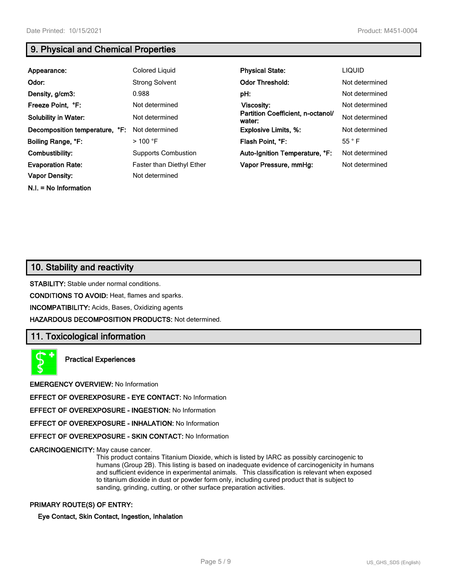# **9. Physical and Chemical Properties**

| Appearance:                    | Colored Liguid                   | <b>Physical State:</b>                      | <b>LIQUID</b>  |
|--------------------------------|----------------------------------|---------------------------------------------|----------------|
| Odor:                          | <b>Strong Solvent</b>            | <b>Odor Threshold:</b>                      | Not determined |
| Density, g/cm3:                | 0.988                            | pH:                                         | Not determined |
| Freeze Point, °F:              | Not determined                   | Viscosity:                                  | Not determined |
| <b>Solubility in Water:</b>    | Not determined                   | Partition Coefficient, n-octanol/<br>water: | Not determined |
| Decomposition temperature, °F: | Not determined                   | <b>Explosive Limits, %:</b>                 | Not determined |
| Boiling Range, °F:             | $>$ 100 °F                       | Flash Point. °F:                            | $55^{\circ}$ F |
| Combustibility:                | <b>Supports Combustion</b>       | Auto-Ignition Temperature, °F:              | Not determined |
| <b>Evaporation Rate:</b>       | <b>Faster than Diethyl Ether</b> | Vapor Pressure, mmHg:                       | Not determined |
| <b>Vapor Density:</b>          | Not determined                   |                                             |                |

**N.I. = No Information**

**10. Stability and reactivity**

**STABILITY:** Stable under normal conditions.

**CONDITIONS TO AVOID:** Heat, flames and sparks.

**INCOMPATIBILITY:** Acids, Bases, Oxidizing agents

**HAZARDOUS DECOMPOSITION PRODUCTS:** Not determined.

# **11. Toxicological information**

**Practical Experiences**

**EMERGENCY OVERVIEW:** No Information

**EFFECT OF OVEREXPOSURE - EYE CONTACT:** No Information

**EFFECT OF OVEREXPOSURE - INGESTION:** No Information

**EFFECT OF OVEREXPOSURE - INHALATION:** No Information

**EFFECT OF OVEREXPOSURE - SKIN CONTACT:** No Information

**CARCINOGENICITY:** May cause cancer.

This product contains Titanium Dioxide, which is listed by IARC as possibly carcinogenic to humans (Group 2B). This listing is based on inadequate evidence of carcinogenicity in humans and sufficient evidence in experimental animals. This classification is relevant when exposed to titanium dioxide in dust or powder form only, including cured product that is subject to sanding, grinding, cutting, or other surface preparation activities.

#### **PRIMARY ROUTE(S) OF ENTRY:**

**Eye Contact, Skin Contact, Ingestion, Inhalation**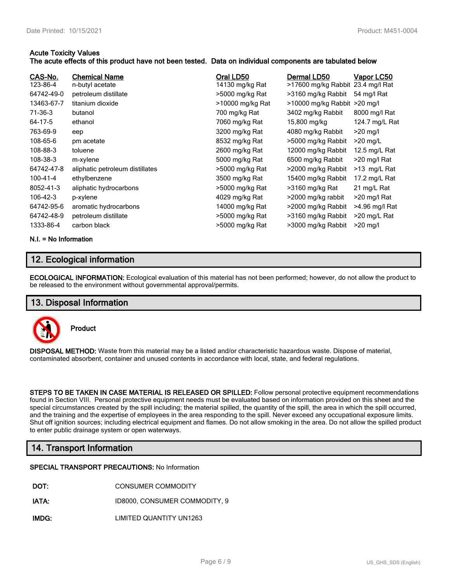#### **Acute Toxicity Values**

#### **The acute effects of this product have not been tested. Data on individual components are tabulated below**

| CAS-No.<br>123-86-4<br>64742-49-0<br>13463-67-7<br>71-36-3<br>64-17-5<br>763-69-9<br>108-65-6<br>108-88-3<br>108-38-3<br>64742-47-8<br>100-41-4<br>8052-41-3<br>106-42-3 | <b>Chemical Name</b><br>n-butyl acetate<br>petroleum distillate<br>titanium dioxide<br>butanol<br>ethanol<br>eep<br>pm acetate<br>toluene<br>m-xylene<br>aliphatic petroleum distillates<br>ethylbenzene<br>aliphatic hydrocarbons<br>p-xylene | Oral LD50<br>14130 mg/kg Rat<br>>5000 mg/kg Rat<br>>10000 mg/kg Rat<br>700 mg/kg Rat<br>7060 mg/kg Rat<br>3200 mg/kg Rat<br>8532 mg/kg Rat<br>2600 mg/kg Rat<br>5000 mg/kg Rat<br>>5000 mg/kg Rat<br>3500 mg/kg Rat<br>>5000 mg/kg Rat<br>4029 mg/kg Rat | Dermal LD50<br>>17600 mg/kg Rabbit 23.4 mg/l Rat<br>>3160 mg/kg Rabbit<br>>10000 mg/kg Rabbit >20 mg/l<br>3402 mg/kg Rabbit<br>15,800 mg/kg<br>4080 mg/kg Rabbit<br>>5000 mg/kg Rabbit<br>12000 mg/kg Rabbit<br>6500 mg/kg Rabbit<br>>2000 mg/kg Rabbit<br>15400 mg/kg Rabbit<br>>3160 mg/kg Rat<br>>2000 mg/kg rabbit | Vapor LC50<br>54 mg/l Rat<br>8000 mg/l Rat<br>124.7 mg/L Rat<br>$>20$ mg/l<br>$>20$ mg/L<br>12.5 mg/L Rat<br>>20 mg/l Rat<br>>13 mg/L Rat<br>17.2 mg/L Rat<br>21 mg/L Rat<br>$>$ 20 mg/l Rat |
|--------------------------------------------------------------------------------------------------------------------------------------------------------------------------|------------------------------------------------------------------------------------------------------------------------------------------------------------------------------------------------------------------------------------------------|----------------------------------------------------------------------------------------------------------------------------------------------------------------------------------------------------------------------------------------------------------|------------------------------------------------------------------------------------------------------------------------------------------------------------------------------------------------------------------------------------------------------------------------------------------------------------------------|----------------------------------------------------------------------------------------------------------------------------------------------------------------------------------------------|
| 64742-95-6                                                                                                                                                               | aromatic hydrocarbons                                                                                                                                                                                                                          | 14000 mg/kg Rat                                                                                                                                                                                                                                          | >2000 mg/kg Rabbit                                                                                                                                                                                                                                                                                                     | >4.96 mg/l Rat                                                                                                                                                                               |
| 64742-48-9                                                                                                                                                               | petroleum distillate                                                                                                                                                                                                                           | >5000 mg/kg Rat                                                                                                                                                                                                                                          | >3160 mg/kg Rabbit                                                                                                                                                                                                                                                                                                     | >20 mg/L Rat                                                                                                                                                                                 |
| 1333-86-4                                                                                                                                                                | carbon black                                                                                                                                                                                                                                   | >5000 mg/kg Rat                                                                                                                                                                                                                                          | >3000 mg/kg Rabbit                                                                                                                                                                                                                                                                                                     | $>20$ mg/l                                                                                                                                                                                   |

#### **N.I. = No Information**

# **12. Ecological information**

**ECOLOGICAL INFORMATION:** Ecological evaluation of this material has not been performed; however, do not allow the product to be released to the environment without governmental approval/permits.

# **13. Disposal Information**



**Product**

**DISPOSAL METHOD:** Waste from this material may be a listed and/or characteristic hazardous waste. Dispose of material, contaminated absorbent, container and unused contents in accordance with local, state, and federal regulations.

**STEPS TO BE TAKEN IN CASE MATERIAL IS RELEASED OR SPILLED:** Follow personal protective equipment recommendations found in Section VIII. Personal protective equipment needs must be evaluated based on information provided on this sheet and the special circumstances created by the spill including; the material spilled, the quantity of the spill, the area in which the spill occurred, and the training and the expertise of employees in the area responding to the spill. Never exceed any occupational exposure limits. Shut off ignition sources; including electrical equipment and flames. Do not allow smoking in the area. Do not allow the spilled product to enter public drainage system or open waterways.

# **14. Transport Information**

#### **SPECIAL TRANSPORT PRECAUTIONS:** No Information

- **DOT:** CONSUMER COMMODITY
- **IATA:** ID8000, CONSUMER COMMODITY, 9

**IMDG:** LIMITED QUANTITY UN1263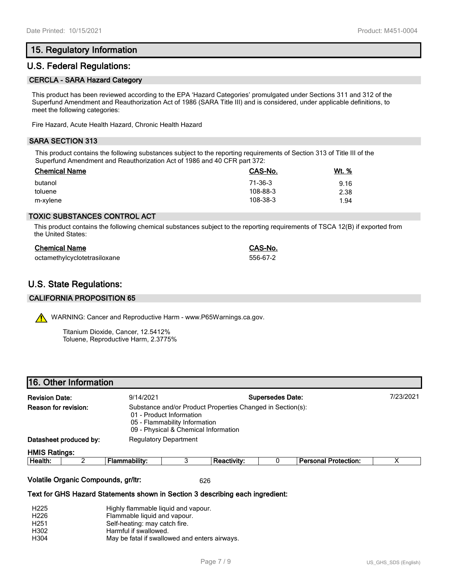# **15. Regulatory Information**

## **U.S. Federal Regulations:**

#### **CERCLA - SARA Hazard Category**

This product has been reviewed according to the EPA 'Hazard Categories' promulgated under Sections 311 and 312 of the Superfund Amendment and Reauthorization Act of 1986 (SARA Title III) and is considered, under applicable definitions, to meet the following categories:

Fire Hazard, Acute Health Hazard, Chronic Health Hazard

#### **SARA SECTION 313**

This product contains the following substances subject to the reporting requirements of Section 313 of Title III of the Superfund Amendment and Reauthorization Act of 1986 and 40 CFR part 372:

| <b>Chemical Name</b> | CAS-No.  | <u>Wt. %</u> |
|----------------------|----------|--------------|
| butanol              | 71-36-3  | 9.16         |
| toluene              | 108-88-3 | 2.38         |
| m-xylene             | 108-38-3 | 1.94         |

#### **TOXIC SUBSTANCES CONTROL ACT**

This product contains the following chemical substances subject to the reporting requirements of TSCA 12(B) if exported from the United States:

| <b>Chemical Name</b>         | CAS-No.  |
|------------------------------|----------|
| octamethylcyclotetrasiloxane | 556-67-2 |

# **U.S. State Regulations:**

#### **CALIFORNIA PROPOSITION 65**

WARNING: Cancer and Reproductive Harm - www.P65Warnings.ca.gov.

Titanium Dioxide, Cancer, 12.5412% Toluene, Reproductive Harm, 2.3775%

|                       | 16. Other Information                                  |                                      |                                                                                                                                                                 |                    |  |                             |           |
|-----------------------|--------------------------------------------------------|--------------------------------------|-----------------------------------------------------------------------------------------------------------------------------------------------------------------|--------------------|--|-----------------------------|-----------|
| <b>Revision Date:</b> |                                                        | <b>Supersedes Date:</b><br>9/14/2021 |                                                                                                                                                                 |                    |  |                             | 7/23/2021 |
| Reason for revision:  |                                                        |                                      | Substance and/or Product Properties Changed in Section(s):<br>01 - Product Information<br>05 - Flammability Information<br>09 - Physical & Chemical Information |                    |  |                             |           |
|                       | Datasheet produced by:<br><b>Regulatory Department</b> |                                      |                                                                                                                                                                 |                    |  |                             |           |
| <b>HMIS Ratings:</b>  |                                                        |                                      |                                                                                                                                                                 |                    |  |                             |           |
| Health:               |                                                        | Flammability:                        |                                                                                                                                                                 | <b>Reactivity:</b> |  | <b>Personal Protection:</b> | х         |

#### **Volatile Organic Compounds, gr/ltr:** 626

#### **Text for GHS Hazard Statements shown in Section 3 describing each ingredient:**

| H <sub>225</sub> | Highly flammable liquid and vapour.           |
|------------------|-----------------------------------------------|
| H <sub>226</sub> | Flammable liquid and vapour.                  |
| H <sub>251</sub> | Self-heating: may catch fire.                 |
| H302             | Harmful if swallowed.                         |
| H304             | May be fatal if swallowed and enters airways. |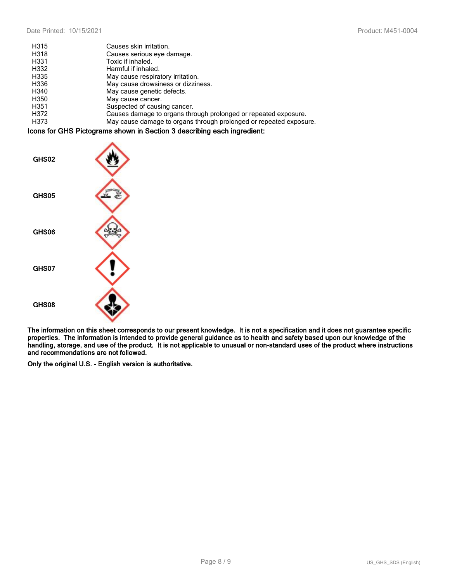| H315 | Causes skin irritation.                                            |
|------|--------------------------------------------------------------------|
| H318 | Causes serious eye damage.                                         |
| H331 | Toxic if inhaled.                                                  |
| H332 | Harmful if inhaled.                                                |
| H335 | May cause respiratory irritation.                                  |
| H336 | May cause drowsiness or dizziness.                                 |
| H340 | May cause genetic defects.                                         |
| H350 | May cause cancer.                                                  |
| H351 | Suspected of causing cancer.                                       |
| H372 | Causes damage to organs through prolonged or repeated exposure.    |
| H373 | May cause damage to organs through prolonged or repeated exposure. |

#### **Icons for GHS Pictograms shown in Section 3 describing each ingredient:**



**The information on this sheet corresponds to our present knowledge. It is not a specification and it does not guarantee specific properties. The information is intended to provide general guidance as to health and safety based upon our knowledge of the handling, storage, and use of the product. It is not applicable to unusual or non-standard uses of the product where instructions and recommendations are not followed.**

**Only the original U.S. - English version is authoritative.**